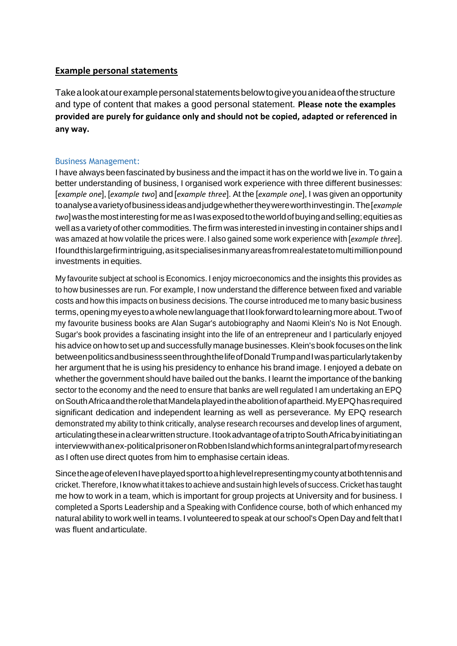## **Example personal statements**

Takealookatourexamplepersonalstatementsbelowtogiveyouanideaofthestructure and type of content that makes a good personal statement. **Please note the examples provided are purely for guidance only and should not be copied, adapted or referenced in any way.** 

### Business Management:

I have always been fascinated by business and the impact it has on the world we live in. To gain a better understanding of business, I organised work experience with three different businesses: [*example one*], [*example two*] and [*example three*]. At the [*example one*], I was given an opportunity toanalyseavarietyofbusinessideasandjudgewhethertheywereworthinvestingin.The[*example two*]wasthemostinterestingformeasIwasexposedtotheworldofbuyingandselling;equitiesas well as a variety of other commodities. The firm was interested in investing in container ships and I was amazed at how volatile the prices were. I also gained some work experience with [*example three*]. Ifoundthislargefirmintriguing, as itspecialises in many areasfrom realestatetomultimillion pound investments in equities.

My favourite subject at school is Economics. I enjoy microeconomics and the insights this provides as to how businesses are run. For example, I now understand the difference between fixed and variable costs and how this impacts on business decisions. The course introduced me to many basic business terms,openingmyeyestoawholenewlanguagethatIlookforwardtolearningmoreabout.Twoof my favourite business books are Alan Sugar's autobiography and Naomi Klein's No is Not Enough. Sugar's book provides a fascinating insight into the life of an entrepreneur and I particularly enjoyed his advice on how to set up and successfully manage businesses. Klein's book focuses on the link betweenpoliticsandbusinessseenthroughthelifeofDonaldTrumpandIwasparticularlytakenby her argument that he is using his presidency to enhance his brand image. I enjoyed a debate on whether the government should have bailed out the banks. I learnt the importance of the banking sector to the economy and the need to ensure that banks are well regulated I am undertaking an EPQ onSouthAfricaandtherolethatMandelaplayedintheabolitionofapartheid.MyEPQhasrequired significant dedication and independent learning as well as perseverance. My EPQ research demonstrated my ability to think critically, analyse research recourses and develop lines of argument, articulatingtheseinaclearwrittenstructure.ItookadvantageofatriptoSouthAfricabyinitiatingan interviewwithanex-politicalprisoneronRobbenIslandwhichformsanintegralpartofmyresearch as I often use direct quotes from him to emphasise certain ideas.

Since the age of eleven I have played sport to a high level representing my county at both tennis and cricket.Therefore, I know whatittakes toachieve andsustain highlevels of success.Cricket has taught me how to work in a team, which is important for group projects at University and for business. I completed a Sports Leadership and a Speaking with Confidence course, both of which enhanced my natural ability to work well in teams. I volunteered to speak at our school's Open Day and felt that I was fluent andarticulate.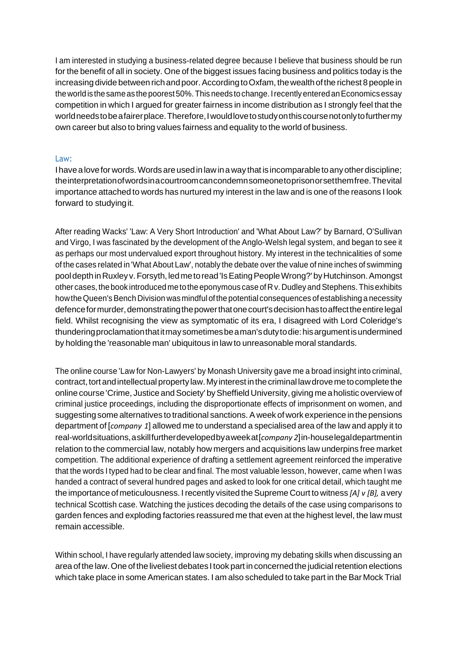I am interested in studying a business-related degree because I believe that business should be run for the benefit of all in society. One of the biggest issues facing business and politics today is the increasing divide between rich and poor. According to Oxfam, the wealth of the richest 8 people in the world is the same as the poorest 50%. This needs to change. I recently entered an Economics essay competition in which I argued for greater fairness in income distribution as I strongly feel that the worldneedstobeafairerplace.Therefore,Iwouldlovetostudyonthiscoursenotonlytofurthermy own career but also to bring values fairness and equality to the world of business.

#### Law:

I have a love for words. Words are used in law in a way that is incomparable to any other discipline; theinterpretationofwordsinacourtroomcancondemnsomeonetoprisonorsetthemfree.Thevital importance attached to words has nurtured my interest in the law and is one of the reasons I look forward to studyingit.

After reading Wacks' 'Law: A Very Short Introduction' and 'What About Law?' by Barnard, O'Sullivan and Virgo, I was fascinated by the development of the Anglo-Welsh legal system, and began to see it as perhaps our most undervalued export throughout history. My interest in the technicalities of some of the cases related in 'What About Law', notably the debate over the value of nine inches of swimming pooldepthinRuxleyv.Forsyth,ledmetoread'IsEatingPeopleWrong?'byHutchinson.Amongst other cases, the book introduced me to the eponymous case of R v. Dudley and Stephens. This exhibits how the Queen's Bench Division was mindful of the potential consequences of establishing a necessity defenceformurder,demonstratingthepowerthatonecourt'sdecisionhastoaffecttheentirelegal field. Whilst recognising the view as symptomatic of its era, I disagreed with Lord Coleridge's thunderingproclamationthatitmaysometimesbeaman'sdutytodie:hisargumentisundermined by holding the 'reasonable man' ubiquitous in law to unreasonable moral standards.

The online course 'Law for Non-Lawyers' by Monash University gave me a broad insight into criminal, contract, tort and intellectual property law. My interest in the criminal law drove me to complete the online course 'Crime, Justice and Society' by Sheffield University, giving me a holistic overview of criminal justice proceedings, including the disproportionate effects of imprisonment on women, and suggesting some alternatives to traditional sanctions.A week of work experience in the pensions department of [*company 1*] allowed me to understand a specialised area of the law and apply it to real-worldsituations,askillfurtherdevelopedbyaweekat[*company 2*]in-houselegaldepartmentin relation to the commercial law, notably how mergers and acquisitions law underpins free market competition. The additional experience of drafting a settlement agreement reinforced the imperative that the words I typed had to be clear and final. The most valuable lesson, however, came when I was handed a contract of several hundred pages and asked to look for one critical detail, which taught me the importance ofmeticulousness. Irecently visited theSupreme Court to witness *[A] v [B],* avery technical Scottish case. Watching the justices decoding the details of the case using comparisons to garden fences and exploding factories reassured me that even at the highest level, the law must remain accessible.

Within school, I have regularly attended law society, improving my debating skills when discussing an area of the law. One of the liveliest debates I took part in concerned the judicial retention elections which take place in some American states. I am also scheduled to take part in the Bar Mock Trial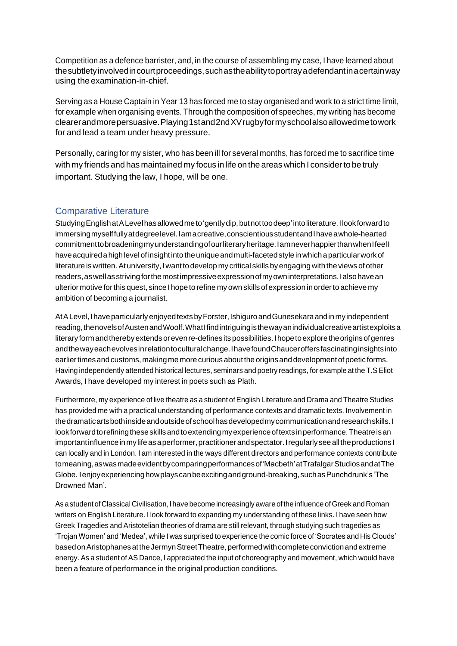Competition as a defence barrister, and, in the course of assembling my case, I have learned about thesubtletyinvolvedincourtproceedings,suchastheabilitytoportrayadefendantinacertainway using the examination-in-chief.

Serving as a House Captain in Year 13 has forced me to stay organised and work to a strict time limit, for example when organising events. Through the composition of speeches, my writing has become clearerandmorepersuasive. Playing 1stand2ndXV rugby formy schoolalsoallowed metowork for and lead a team under heavy pressure.

Personally, caring for my sister, who has been ill for several months, has forced me to sacrifice time with my friends and has maintained my focus in life on the areas which I considerto be truly important. Studying the law, I hope, will be one.

# Comparative Literature

StudyingEnglishatALevelhasallowedmeto'gentlydip,butnottoodeep'intoliterature.Ilookforwardto immersingmyselffullyatdegreelevel.Iamacreative,conscientiousstudentandIhaveawhole-hearted commitmenttobroadeningmyunderstandingofourliteraryheritage.IamneverhappierthanwhenIfeelI haveacquiredahighlevelofinsightinto theuniqueandmulti-facetedstyleinwhichaparticularworkof literature is written. At university, I want to develop my critical skills by engaging with the views of other readers, as well as striving for the most impressive expression of my own interpretations. I also have an ulterior motive forthis quest, since I hope to refine my own skills of expression inorderto achieve my ambition of becoming a journalist.

AtALevel,IhaveparticularlyenjoyedtextsbyForster,IshiguroandGunesekaraandinmyindependent reading,thenovelsofAustenandWoolf.WhatIfindintriguingisthewayanindividualcreativeartistexploitsa literaryformandtherebyextendsorevenre-defines itspossibilities.Ihopetoexploretheoriginsofgenres andthewayeachevolvesinrelationtoculturalchange.IhavefoundChauceroffersfascinatinginsightsinto earlier times and customs, making me more curious about the origins and development of poetic forms. Having independently attended historical lectures, seminars and poetry readings, for example at the T.S Eliot Awards, I have developed my interest in poets such as Plath.

Furthermore, my experience of live theatre as a student ofEnglish Literature and Drama and Theatre Studies has provided me with a practical understanding of performance contexts and dramatic texts. Involvement in thedramaticartsbothinsideandoutsideofschoolhasdevelopedmycommunicationandresearchskills.I lookforwardtorefiningtheseskillsandtoextendingmyexperienceoftexts inperformance.Theatreisan important influence in my life as a performer, practitioner and spectator. I regularly see all the productions I can locally and in London. I am interested in the ways different directors and performance contexts contribute tomeaning,aswasmadeevidentbycomparingperformancesof'Macbeth'atTrafalgarStudiosandatThe Globe. Ienjoy experiencing how plays can be exciting and ground-breaking, such as Punchdrunk's 'The Drowned Man'.

As a student of Classical Civilisation, I have become increasingly aware of the influence of Greek and Roman writers on English Literature. I look forward to expanding my understanding of these links. I have seen how Greek Tragedies and Aristotelian theories of drama are still relevant, through studying such tragedies as 'Trojan Women' and 'Medea', while I was surprised to experience the comic force of 'Socrates and His Clouds' based on Aristophanes at the Jermyn Street Theatre, performed with complete conviction and extreme energy. As a student of AS Dance, I appreciated the input of choreography and movement, which would have been a feature of performance in the original production conditions.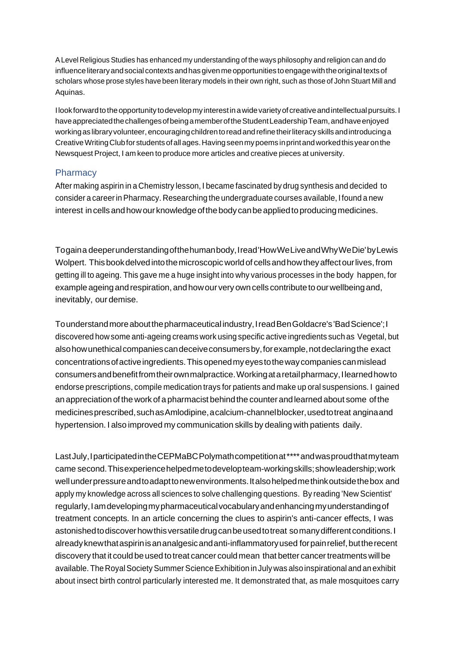ALevel Religious Studies has enhanced my understanding of the ways philosophy and religion can and do influenceliteraryandsocialcontexts andhasgivenmeopportunities toengagewiththeoriginaltexts of scholars whose prose styles have been literary models in their own right, such as those of John Stuart Mill and Aquinas.

Ilookforward to the opportunity to develop my interest in a wide variety of creative and intellectual pursuits. I haveappreciatedthechallengesofbeingamemberoftheStudentLeadershipTeam,andhaveenjoyed working as library volunteer, encouraging children to read and refine their literacy skills and introducing a CreativeWritingClubfor studentsofallages.Havingseenmypoems inprintandworkedthis yearonthe Newsquest Project, I am keen to produce more articles and creative pieces at university.

#### **Pharmacy**

After making aspirin in a Chemistry lesson, I became fascinated by drug synthesis and decided to consider a careerinPharmacy. Researching the undergraduate courses available, I found a new interest in cells and how our knowledge of the body can be applied to producing medicines.

Togaina deeperunderstandingofthehumanbody,Iread'HowWeLiveandWhyWeDie'byLewis Wolpert. Thisbookdelvedintothemicroscopic worldof cellsandhowtheyaffectourlives,from getting ill to ageing. This gave me a huge insight into why various processes in the body happen, for example ageing and respiration, and how our very own cells contribute to our wellbeing and, inevitably, our demise.

Tounderstandmoreaboutthepharmaceutical industry,IreadBenGoldacre's'BadScience';I discovered how some anti-ageing creams work using specific active ingredients such as Vegetal, but alsohowunethicalcompaniescandeceiveconsumersby,forexample,notdeclaringthe exact concentrationsofactiveingredients.Thisopenedmyeyestothewaycompaniescanmislead consumersandbenefitfromtheirownmalpractice.Workingataretailpharmacy,Ilearnedhowto endorse prescriptions, compile medication trays for patients and make up oral suspensions. I gained an appreciationofthe work of a pharmacist behindthe counter andlearned about some ofthe medicinesprescribed,suchasAmlodipine,acalcium-channelblocker,usedtotreat anginaand hypertension. I also improved my communication skills by dealing with patients daily.

Last July, I participated in the CEPMaBC Polymath competition at \*\*\*\* and was proud that my team came second.Thisexperiencehelpedmetodevelopteam-workingskills;showleadership;work wellunderpressureandtoadapttonewenvironments.Italsohelpedmethinkoutsidethebox and apply my knowledge across all sciences to solve challenging questions. By reading 'New Scientist' regularly,Iamdevelopingmypharmaceuticalvocabularyandenhancingmyunderstandingof treatment concepts. In an article concerning the clues to aspirin's anti-cancer effects, I was astonished to discover how this versatile drug can be used to treat somany different conditions. I alreadyknewthataspirinisananalgesicandanti-inflammatoryused forpainrelief,buttherecent discovery that it could be used to treat cancer could mean that better cancer treatments will be available. The Royal Society Summer Science Exhibition in July was also inspirational and an exhibit about insect birth control particularly interested me. It demonstrated that, as male mosquitoes carry